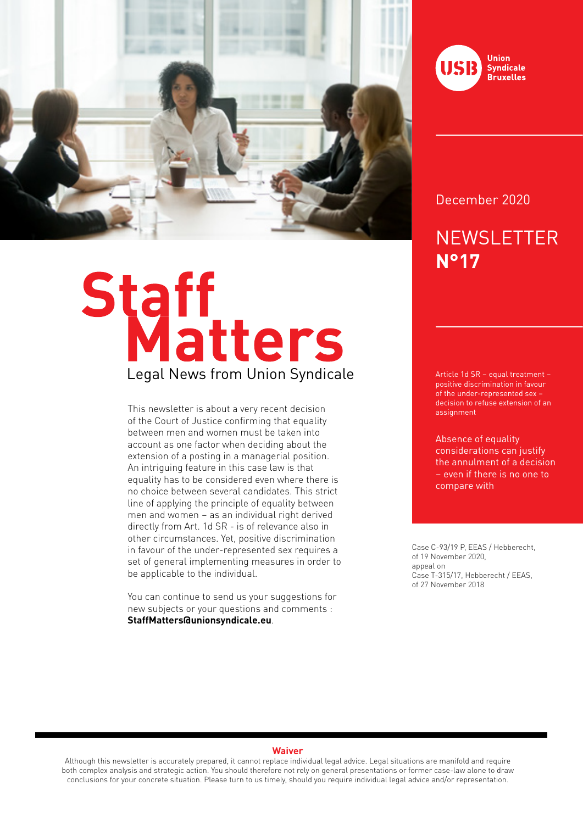

# Staff<br>Legal News from Union Syndicale

This newsletter is about a very recent decision of the Court of Justice confirming that equality between men and women must be taken into account as one factor when deciding about the extension of a posting in a managerial position. An intriguing feature in this case law is that equality has to be considered even where there is no choice between several candidates. This strict line of applying the principle of equality between men and women – as an individual right derived directly from Art. 1d SR - is of relevance also in other circumstances. Yet, positive discrimination in favour of the under-represented sex requires a set of general implementing measures in order to be applicable to the individual.

You can continue to send us your suggestions for new subjects or your questions and comments : **StaffMatters@unionsyndicale.eu**.



December 2020

# **NEWSLETTER N°17**

Article 1d SR – equal treatment – positive discrimination in favour of the under-represented sex – decision to refuse extension of an assignment

Absence of equality considerations can justify the annulment of a decision – even if there is no one to compare with

Case C-93/19 P, EEAS / Hebberecht, of 19 November 2020, appeal on Case T-315/17, Hebberecht / EEAS, of 27 November 2018

### **Waiver**

Although this newsletter is accurately prepared, it cannot replace individual legal advice. Legal situations are manifold and require both complex analysis and strategic action. You should therefore not rely on general presentations or former case-law alone to draw conclusions for your concrete situation. Please turn to us timely, should you require individual legal advice and/or representation.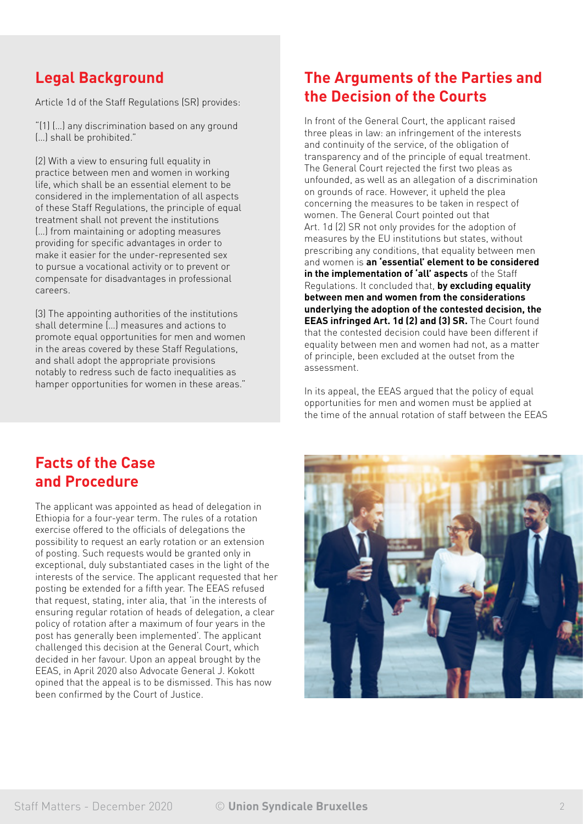## **Legal Background**

Article 1d of the Staff Regulations (SR) provides:

"(1) (…) any discrimination based on any ground (…) shall be prohibited."

(2) With a view to ensuring full equality in practice between men and women in working life, which shall be an essential element to be considered in the implementation of all aspects of these Staff Regulations, the principle of equal treatment shall not prevent the institutions (…) from maintaining or adopting measures providing for specific advantages in order to make it easier for the under-represented sex to pursue a vocational activity or to prevent or compensate for disadvantages in professional careers.

(3) The appointing authorities of the institutions shall determine (…) measures and actions to promote equal opportunities for men and women in the areas covered by these Staff Regulations, and shall adopt the appropriate provisions notably to redress such de facto inequalities as hamper opportunities for women in these areas."

### **The Arguments of the Parties and the Decision of the Courts**

In front of the General Court, the applicant raised three pleas in law: an infringement of the interests and continuity of the service, of the obligation of transparency and of the principle of equal treatment. The General Court rejected the first two pleas as unfounded, as well as an allegation of a discrimination on grounds of race. However, it upheld the plea concerning the measures to be taken in respect of women. The General Court pointed out that Art. 1d (2) SR not only provides for the adoption of measures by the EU institutions but states, without prescribing any conditions, that equality between men and women is **an 'essential' element to be considered in the implementation of 'all' aspects** of the Staff Regulations. It concluded that, **by excluding equality between men and women from the considerations underlying the adoption of the contested decision, the EEAS infringed Art. 1d (2) and (3) SR.** The Court found that the contested decision could have been different if equality between men and women had not, as a matter of principle, been excluded at the outset from the assessment.

In its appeal, the EEAS argued that the policy of equal opportunities for men and women must be applied at the time of the annual rotation of staff between the EEAS

### **Facts of the Case and Procedure**

The applicant was appointed as head of delegation in Ethiopia for a four-year term. The rules of a rotation exercise offered to the officials of delegations the possibility to request an early rotation or an extension of posting. Such requests would be granted only in exceptional, duly substantiated cases in the light of the interests of the service. The applicant requested that her posting be extended for a fifth year. The EEAS refused that request, stating, inter alia, that 'in the interests of ensuring regular rotation of heads of delegation, a clear policy of rotation after a maximum of four years in the post has generally been implemented'. The applicant challenged this decision at the General Court, which decided in her favour. Upon an appeal brought by the EEAS, in April 2020 also Advocate General J. Kokott opined that the appeal is to be dismissed. This has now been confirmed by the Court of Justice.

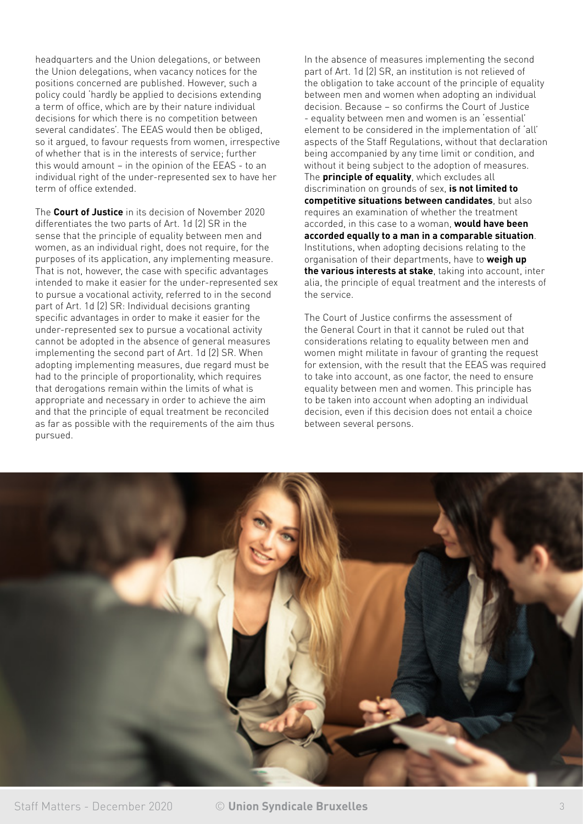headquarters and the Union delegations, or between the Union delegations, when vacancy notices for the positions concerned are published. However, such a policy could 'hardly be applied to decisions extending a term of office, which are by their nature individual decisions for which there is no competition between several candidates'. The EEAS would then be obliged, so it argued, to favour requests from women, irrespective of whether that is in the interests of service; further this would amount – in the opinion of the EEAS - to an individual right of the under-represented sex to have her term of office extended.

The **Court of Justice** in its decision of November 2020 differentiates the two parts of Art. 1d (2) SR in the sense that the principle of equality between men and women, as an individual right, does not require, for the purposes of its application, any implementing measure. That is not, however, the case with specific advantages intended to make it easier for the under-represented sex to pursue a vocational activity, referred to in the second part of Art. 1d (2) SR: Individual decisions granting specific advantages in order to make it easier for the under-represented sex to pursue a vocational activity cannot be adopted in the absence of general measures implementing the second part of Art. 1d (2) SR. When adopting implementing measures, due regard must be had to the principle of proportionality, which requires that derogations remain within the limits of what is appropriate and necessary in order to achieve the aim and that the principle of equal treatment be reconciled as far as possible with the requirements of the aim thus pursued.

In the absence of measures implementing the second part of Art. 1d (2) SR, an institution is not relieved of the obligation to take account of the principle of equality between men and women when adopting an individual decision. Because – so confirms the Court of Justice - equality between men and women is an 'essential' element to be considered in the implementation of 'all' aspects of the Staff Regulations, without that declaration being accompanied by any time limit or condition, and without it being subject to the adoption of measures. The **principle of equality**, which excludes all discrimination on grounds of sex, **is not limited to competitive situations between candidates**, but also requires an examination of whether the treatment accorded, in this case to a woman, **would have been accorded equally to a man in a comparable situation**. Institutions, when adopting decisions relating to the organisation of their departments, have to **weigh up the various interests at stake**, taking into account, inter alia, the principle of equal treatment and the interests of the service.

The Court of Justice confirms the assessment of the General Court in that it cannot be ruled out that considerations relating to equality between men and women might militate in favour of granting the request for extension, with the result that the EEAS was required to take into account, as one factor, the need to ensure equality between men and women. This principle has to be taken into account when adopting an individual decision, even if this decision does not entail a choice between several persons.